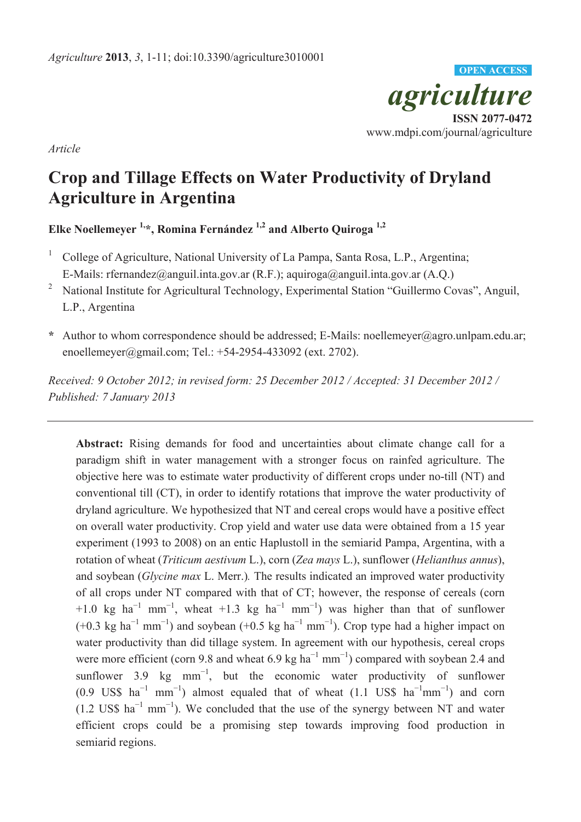

*Article*

# **Crop and Tillage Effects on Water Productivity of Dryland Agriculture in Argentina**

**Elke Noellemeyer 1,\*, Romina Fernández 1,2 and Alberto Quiroga 1,2**

- <sup>1</sup> College of Agriculture, National University of La Pampa, Santa Rosa, L.P., Argentina; E-Mails: rfernandez@anguil.inta.gov.ar (R.F.); aquiroga@anguil.inta.gov.ar (A.Q.)
- <sup>2</sup> National Institute for Agricultural Technology, Experimental Station "Guillermo Covas", Anguil, L.P., Argentina
- **\*** Author to whom correspondence should be addressed; E-Mails: noellemeyer@agro.unlpam.edu.ar; enoellemeyer@gmail.com; Tel.: +54-2954-433092 (ext. 2702).

*Received: 9 October 2012; in revised form: 25 December 2012 / Accepted: 31 December 2012 / Published: 7 January 2013*

**Abstract:** Rising demands for food and uncertainties about climate change call for a paradigm shift in water management with a stronger focus on rainfed agriculture. The objective here was to estimate water productivity of different crops under no-till (NT) and conventional till (CT), in order to identify rotations that improve the water productivity of dryland agriculture. We hypothesized that NT and cereal crops would have a positive effect on overall water productivity. Crop yield and water use data were obtained from a 15 year experiment (1993 to 2008) on an entic Haplustoll in the semiarid Pampa, Argentina, with a rotation of wheat (*Triticum aestivum* L.), corn (*Zea mays* L.), sunflower (*Helianthus annus*), and soybean (*Glycine max* L. Merr.)*.* The results indicated an improved water productivity of all crops under NT compared with that of CT; however, the response of cereals (corn +1.0 kg ha<sup>-1</sup> mm<sup>-1</sup>, wheat +1.3 kg ha<sup>-1</sup> mm<sup>-1</sup>) was higher than that of sunflower  $(+0.3 \text{ kg ha}^{-1} \text{ mm}^{-1})$  and soybean  $(+0.5 \text{ kg ha}^{-1} \text{ mm}^{-1})$ . Crop type had a higher impact on water productivity than did tillage system. In agreement with our hypothesis, cereal crops were more efficient (corn 9.8 and wheat 6.9 kg  $ha^{-1}$  mm<sup>-1</sup>) compared with soybean 2.4 and sunflower 3.9 kg mm<sup>-1</sup>, but the economic water productivity of sunflower  $(0.9 \text{ USS ha}^{-1} \text{ mm}^{-1})$  almost equaled that of wheat  $(1.1 \text{ USS ha}^{-1} \text{mm}^{-1})$  and corn  $(1.2 \text{ US$} \text{ ha}^{-1} \text{ mm}^{-1})$ . We concluded that the use of the synergy between NT and water efficient crops could be a promising step towards improving food production in semiarid regions.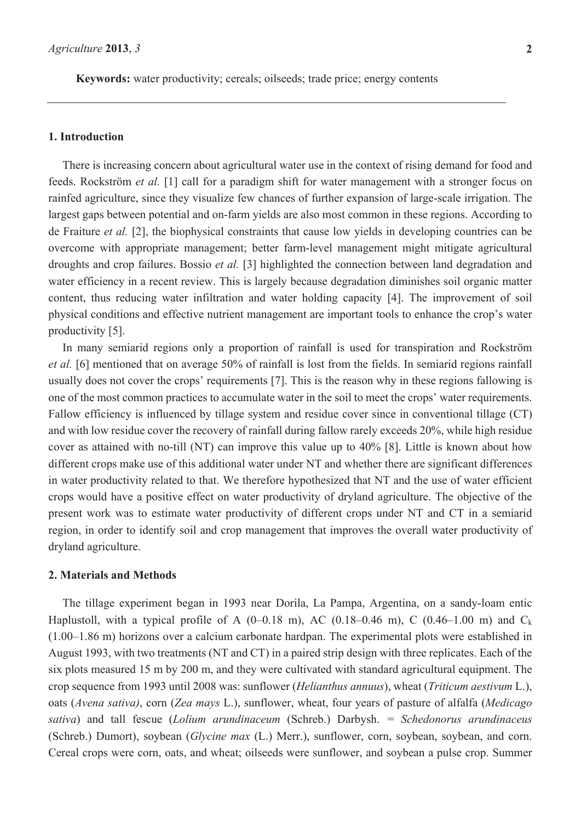**Keywords:** water productivity; cereals; oilseeds; trade price; energy contents

#### **1. Introduction**

There is increasing concern about agricultural water use in the context of rising demand for food and feeds. Rockström *et al.* [1] call for a paradigm shift for water management with a stronger focus on rainfed agriculture, since they visualize few chances of further expansion of large-scale irrigation. The largest gaps between potential and on-farm yields are also most common in these regions. According to de Fraiture *et al.* [2], the biophysical constraints that cause low yields in developing countries can be overcome with appropriate management; better farm-level management might mitigate agricultural droughts and crop failures. Bossio *et al.* [3] highlighted the connection between land degradation and water efficiency in a recent review. This is largely because degradation diminishes soil organic matter content, thus reducing water infiltration and water holding capacity [4]. The improvement of soil physical conditions and effective nutrient management are important tools to enhance the crop's water productivity [5].

In many semiarid regions only a proportion of rainfall is used for transpiration and Rockström *et al.* [6] mentioned that on average 50% of rainfall is lost from the fields. In semiarid regions rainfall usually does not cover the crops' requirements [7]. This is the reason why in these regions fallowing is one of the most common practices to accumulate water in the soil to meet the crops' water requirements. Fallow efficiency is influenced by tillage system and residue cover since in conventional tillage (CT) and with low residue cover the recovery of rainfall during fallow rarely exceeds 20%, while high residue cover as attained with no-till (NT) can improve this value up to 40% [8]. Little is known about how different crops make use of this additional water under NT and whether there are significant differences in water productivity related to that. We therefore hypothesized that NT and the use of water efficient crops would have a positive effect on water productivity of dryland agriculture. The objective of the present work was to estimate water productivity of different crops under NT and CT in a semiarid region, in order to identify soil and crop management that improves the overall water productivity of dryland agriculture.

#### **2. Materials and Methods**

The tillage experiment began in 1993 near Dorila, La Pampa, Argentina, on a sandy-loam entic Haplustoll, with a typical profile of A  $(0-0.18 \text{ m})$ , AC  $(0.18-0.46 \text{ m})$ , C  $(0.46-1.00 \text{ m})$  and C<sub>k</sub> (1.00–1.86 m) horizons over a calcium carbonate hardpan. The experimental plots were established in August 1993, with two treatments (NT and CT) in a paired strip design with three replicates. Each of the six plots measured 15 m by 200 m, and they were cultivated with standard agricultural equipment. The crop sequence from 1993 until 2008 was: sunflower (*Helianthus annuus*), wheat (*Triticum aestivum* L.), oats (*Avena sativa)*, corn (*Zea mays* L.), sunflower, wheat, four years of pasture of alfalfa (*Medicago sativa*) and tall fescue (*Lolium arundinaceum* (Schreb.) Darbysh. *= Schedonorus arundinaceus*  (Schreb.) Dumort), soybean (*Glycine max* (L.) Merr.), sunflower, corn, soybean, soybean, and corn. Cereal crops were corn, oats, and wheat; oilseeds were sunflower, and soybean a pulse crop. Summer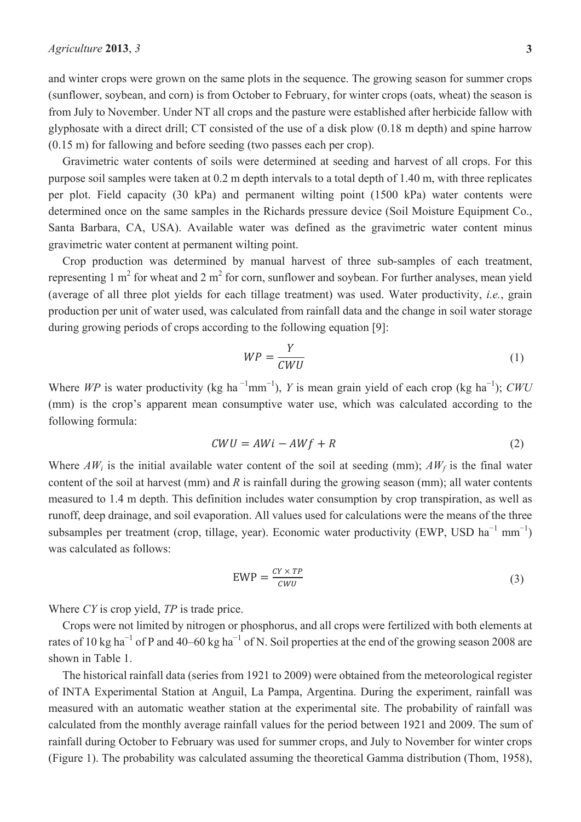and winter crops were grown on the same plots in the sequence. The growing season for summer crops (sunflower, soybean, and corn) is from October to February, for winter crops (oats, wheat) the season is from July to November. Under NT all crops and the pasture were established after herbicide fallow with glyphosate with a direct drill; CT consisted of the use of a disk plow (0.18 m depth) and spine harrow (0.15 m) for fallowing and before seeding (two passes each per crop).

Gravimetric water contents of soils were determined at seeding and harvest of all crops. For this purpose soil samples were taken at 0.2 m depth intervals to a total depth of 1.40 m, with three replicates per plot. Field capacity (30 kPa) and permanent wilting point (1500 kPa) water contents were determined once on the same samples in the Richards pressure device (Soil Moisture Equipment Co., Santa Barbara, CA, USA). Available water was defined as the gravimetric water content minus gravimetric water content at permanent wilting point.

Crop production was determined by manual harvest of three sub-samples of each treatment, representing 1  $m<sup>2</sup>$  for wheat and 2  $m<sup>2</sup>$  for corn, sunflower and soybean. For further analyses, mean yield (average of all three plot yields for each tillage treatment) was used. Water productivity, *i.e.*, grain production per unit of water used, was calculated from rainfall data and the change in soil water storage during growing periods of crops according to the following equation [9]:

$$
WP = \frac{Y}{CWU} \tag{1}
$$

Where WP is water productivity (kg ha<sup>-1</sup>mm<sup>-1</sup>), *Y* is mean grain yield of each crop (kg ha<sup>-1</sup>); *CWU* (mm) is the crop's apparent mean consumptive water use, which was calculated according to the following formula:

$$
CWU = AWi - AWf + R \tag{2}
$$

Where  $AW_i$  is the initial available water content of the soil at seeding (mm);  $AW_f$  is the final water content of the soil at harvest (mm) and *R* is rainfall during the growing season (mm); all water contents measured to 1.4 m depth. This definition includes water consumption by crop transpiration, as well as runoff, deep drainage, and soil evaporation. All values used for calculations were the means of the three subsamples per treatment (crop, tillage, year). Economic water productivity (EWP, USD  $ha^{-1}$  mm<sup>-1</sup>) was calculated as follows:

$$
EWP = \frac{CY \times TP}{CWU} \tag{3}
$$

Where *CY* is crop yield, *TP* is trade price.

Crops were not limited by nitrogen or phosphorus, and all crops were fertilized with both elements at rates of 10 kg ha<sup> $-1$ </sup> of P and 40–60 kg ha<sup> $-1$ </sup> of N. Soil properties at the end of the growing season 2008 are shown in Table 1.

The historical rainfall data (series from 1921 to 2009) were obtained from the meteorological register of INTA Experimental Station at Anguil, La Pampa, Argentina. During the experiment, rainfall was measured with an automatic weather station at the experimental site. The probability of rainfall was calculated from the monthly average rainfall values for the period between 1921 and 2009. The sum of rainfall during October to February was used for summer crops, and July to November for winter crops (Figure 1). The probability was calculated assuming the theoretical Gamma distribution (Thom, 1958),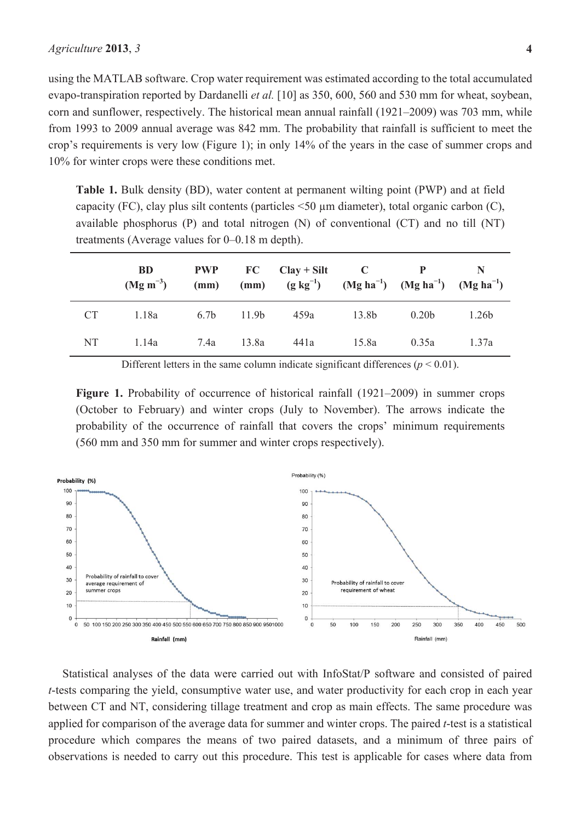using the MATLAB software. Crop water requirement was estimated according to the total accumulated evapo-transpiration reported by Dardanelli *et al.* [10] as 350, 600, 560 and 530 mm for wheat, soybean, corn and sunflower, respectively. The historical mean annual rainfall (1921–2009) was 703 mm, while from 1993 to 2009 annual average was 842 mm. The probability that rainfall is sufficient to meet the crop's requirements is very low (Figure 1); in only 14% of the years in the case of summer crops and 10% for winter crops were these conditions met.

**Table 1.** Bulk density (BD), water content at permanent wilting point (PWP) and at field capacity (FC), clay plus silt contents (particles <50 μm diameter), total organic carbon (C), available phosphorus (P) and total nitrogen (N) of conventional (CT) and no till (NT) treatments (Average values for 0–0.18 m depth).

|           | <b>BD</b><br>$(Mg\ m^{-3})$ | <b>PWP</b> |       | $FC \text{Clay} + Silt \text{Cl}$<br>(mm) (mm) $(g \text{ kg}^{-1})$ $(Mg \text{ ha}^{-1})$ $(Mg \text{ ha}^{-1})$ $(Mg \text{ ha}^{-1})$ |       |                   |       |
|-----------|-----------------------------|------------|-------|-------------------------------------------------------------------------------------------------------------------------------------------|-------|-------------------|-------|
| <b>CT</b> | 1.18a                       | 6.7b       | 11.9b | 459a                                                                                                                                      | 13.8b | 0.20 <sub>b</sub> | 1.26b |
| NT        | 1.14a                       | 7.4a       | 13.8a | 441a                                                                                                                                      | 15.8a | 0.35a             | 1.37a |

Different letters in the same column indicate significant differences ( $p \le 0.01$ ).

Figure 1. Probability of occurrence of historical rainfall (1921–2009) in summer crops (October to February) and winter crops (July to November). The arrows indicate the probability of the occurrence of rainfall that covers the crops' minimum requirements (560 mm and 350 mm for summer and winter crops respectively).



Statistical analyses of the data were carried out with InfoStat/P software and consisted of paired *t*-tests comparing the yield, consumptive water use, and water productivity for each crop in each year between CT and NT, considering tillage treatment and crop as main effects. The same procedure was applied for comparison of the average data for summer and winter crops. The paired *t*-test is a statistical procedure which compares the means of two paired datasets, and a minimum of three pairs of observations is needed to carry out this procedure. This test is applicable for cases where data from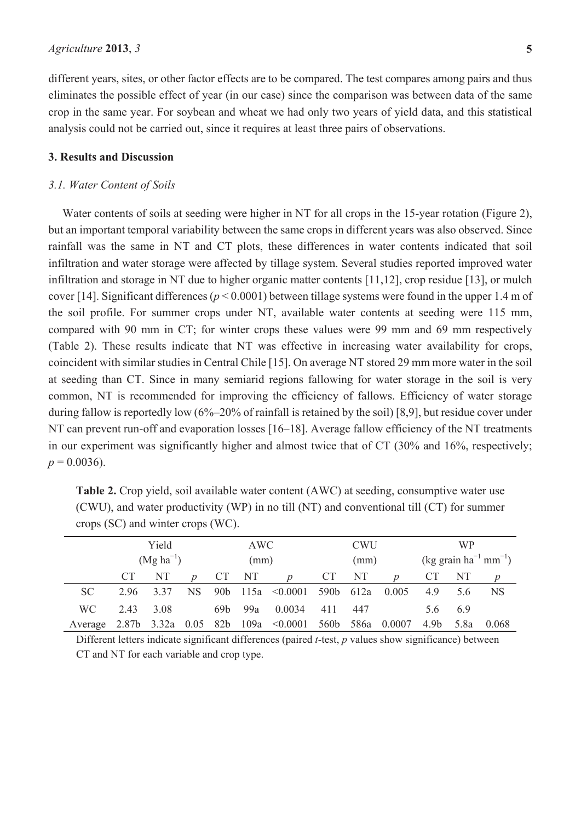different years, sites, or other factor effects are to be compared. The test compares among pairs and thus eliminates the possible effect of year (in our case) since the comparison was between data of the same crop in the same year. For soybean and wheat we had only two years of yield data, and this statistical analysis could not be carried out, since it requires at least three pairs of observations.

## **3. Results and Discussion**

#### *3.1. Water Content of Soils*

Water contents of soils at seeding were higher in NT for all crops in the 15-year rotation (Figure 2), but an important temporal variability between the same crops in different years was also observed. Since rainfall was the same in NT and CT plots, these differences in water contents indicated that soil infiltration and water storage were affected by tillage system. Several studies reported improved water infiltration and storage in NT due to higher organic matter contents [11,12], crop residue [13], or mulch cover [14]. Significant differences (*p* < 0.0001) between tillage systems were found in the upper 1.4 m of the soil profile. For summer crops under NT, available water contents at seeding were 115 mm, compared with 90 mm in CT; for winter crops these values were 99 mm and 69 mm respectively (Table 2). These results indicate that NT was effective in increasing water availability for crops, coincident with similar studies in Central Chile [15]. On average NT stored 29 mm more water in the soil at seeding than CT. Since in many semiarid regions fallowing for water storage in the soil is very common, NT is recommended for improving the efficiency of fallows. Efficiency of water storage during fallow is reportedly low (6%–20% of rainfall is retained by the soil) [8,9], but residue cover under NT can prevent run-off and evaporation losses [16–18]. Average fallow efficiency of the NT treatments in our experiment was significantly higher and almost twice that of CT (30% and 16%, respectively;  $p = 0.0036$ .

**Table 2.** Crop yield, soil available water content (AWC) at seeding, consumptive water use (CWU), and water productivity (WP) in no till (NT) and conventional till (CT) for summer crops (SC) and winter crops (WC).

|           | Yield          |       |      |                 | AWC  |                               |                  | <b>CWU</b> | <b>WP</b> |      |                                              |       |  |
|-----------|----------------|-------|------|-----------------|------|-------------------------------|------------------|------------|-----------|------|----------------------------------------------|-------|--|
|           | $(Mg ha^{-1})$ |       |      |                 | (mm) |                               |                  | (mm)       |           |      | $(kg \text{ grain ha}^{-1} \text{ mm}^{-1})$ |       |  |
|           |                | NT    |      | СT              | NT   |                               | <b>CT</b>        | NT         |           | СT   | NT                                           |       |  |
| <b>SC</b> | 296            | 337   | NS.  | 90 <sub>b</sub> |      | $115a \quad \textless 0.0001$ | 590b             | 612a       | 0.005     | 4.9  | 5.6                                          | NS    |  |
| <b>WC</b> | 2.43           | 3.08  |      | 69 <sub>b</sub> | 99a  | 0.0034                        | 411              | 447        |           | 5.6  | 6.9                                          |       |  |
| Average   | 2.87b          | 3.32a | 0.05 | 82b             | 109a | < 0.0001                      | 560 <sub>b</sub> | 586a       | 0.0007    | 4.9b | 5.8a                                         | 0.068 |  |

Different letters indicate significant differences (paired *t*-test, *p* values show significance) between CT and NT for each variable and crop type.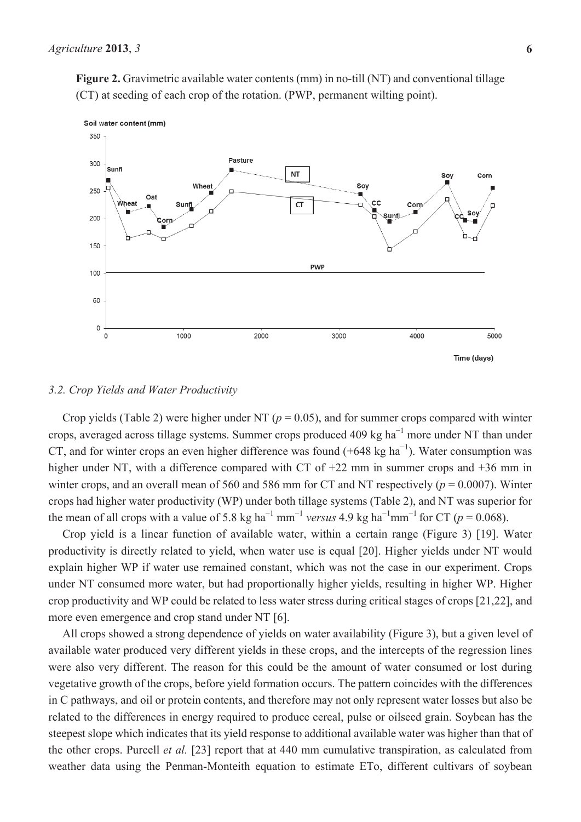**Figure 2.** Gravimetric available water contents (mm) in no-till (NT) and conventional tillage (CT) at seeding of each crop of the rotation. (PWP, permanent wilting point).



#### *3.2. Crop Yields and Water Productivity*

Crop yields (Table 2) were higher under NT ( $p = 0.05$ ), and for summer crops compared with winter crops, averaged across tillage systems. Summer crops produced 409 kg  $ha^{-1}$  more under NT than under CT, and for winter crops an even higher difference was found  $(+648 \text{ kg ha}^{-1})$ . Water consumption was higher under NT, with a difference compared with CT of +22 mm in summer crops and +36 mm in winter crops, and an overall mean of 560 and 586 mm for CT and NT respectively (*p* = 0.0007). Winter crops had higher water productivity (WP) under both tillage systems (Table 2), and NT was superior for the mean of all crops with a value of 5.8 kg ha<sup>-1</sup> mm<sup>-1</sup> versus 4.9 kg ha<sup>-1</sup>mm<sup>-1</sup> for CT ( $p = 0.068$ ).

Crop yield is a linear function of available water, within a certain range (Figure 3) [19]. Water productivity is directly related to yield, when water use is equal [20]. Higher yields under NT would explain higher WP if water use remained constant, which was not the case in our experiment. Crops under NT consumed more water, but had proportionally higher yields, resulting in higher WP. Higher crop productivity and WP could be related to less water stress during critical stages of crops [21,22], and more even emergence and crop stand under NT [6].

All crops showed a strong dependence of yields on water availability (Figure 3), but a given level of available water produced very different yields in these crops, and the intercepts of the regression lines were also very different. The reason for this could be the amount of water consumed or lost during vegetative growth of the crops, before yield formation occurs. The pattern coincides with the differences in C pathways, and oil or protein contents, and therefore may not only represent water losses but also be related to the differences in energy required to produce cereal, pulse or oilseed grain. Soybean has the steepest slope which indicates that its yield response to additional available water was higher than that of the other crops. Purcell *et al.* [23] report that at 440 mm cumulative transpiration, as calculated from weather data using the Penman-Monteith equation to estimate ETo, different cultivars of soybean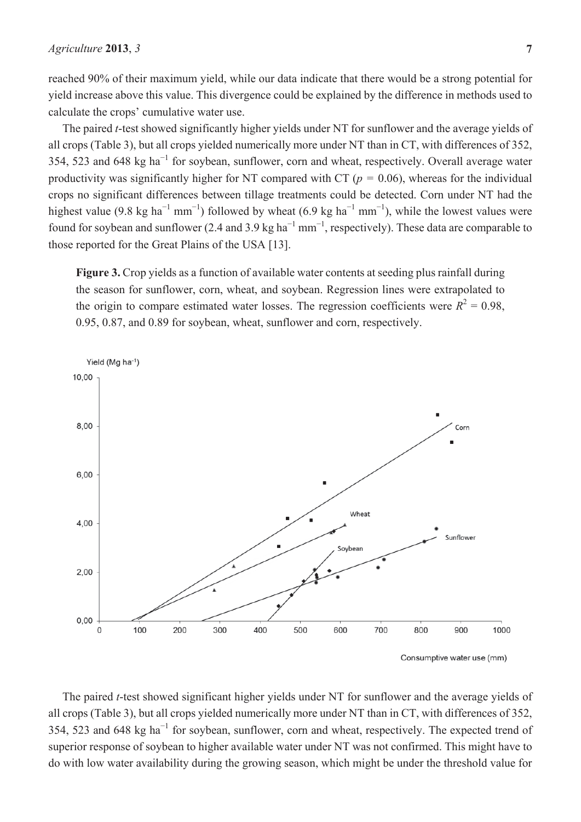reached 90% of their maximum yield, while our data indicate that there would be a strong potential for yield increase above this value. This divergence could be explained by the difference in methods used to calculate the crops' cumulative water use.

The paired *t*-test showed significantly higher yields under NT for sunflower and the average yields of all crops (Table 3), but all crops yielded numerically more under NT than in CT, with differences of 352, 354, 523 and 648 kg ha<sup> $-1$ </sup> for soybean, sunflower, corn and wheat, respectively. Overall average water productivity was significantly higher for NT compared with  $CT (p = 0.06)$ , whereas for the individual crops no significant differences between tillage treatments could be detected. Corn under NT had the highest value (9.8 kg ha<sup>-1</sup> mm<sup>-1</sup>) followed by wheat (6.9 kg ha<sup>-1</sup> mm<sup>-1</sup>), while the lowest values were found for soybean and sunflower (2.4 and 3.9 kg ha<sup> $-1$ </sup> mm<sup> $-1$ </sup>, respectively). These data are comparable to those reported for the Great Plains of the USA [13].

**Figure 3.** Crop yields as a function of available water contents at seeding plus rainfall during the season for sunflower, corn, wheat, and soybean. Regression lines were extrapolated to the origin to compare estimated water losses. The regression coefficients were  $R^2 = 0.98$ . 0.95, 0.87, and 0.89 for soybean, wheat, sunflower and corn, respectively.



The paired *t*-test showed significant higher yields under NT for sunflower and the average yields of all crops (Table 3), but all crops yielded numerically more under NT than in CT, with differences of 352, 354, 523 and 648 kg ha<sup> $-1$ </sup> for soybean, sunflower, corn and wheat, respectively. The expected trend of superior response of soybean to higher available water under NT was not confirmed. This might have to do with low water availability during the growing season, which might be under the threshold value for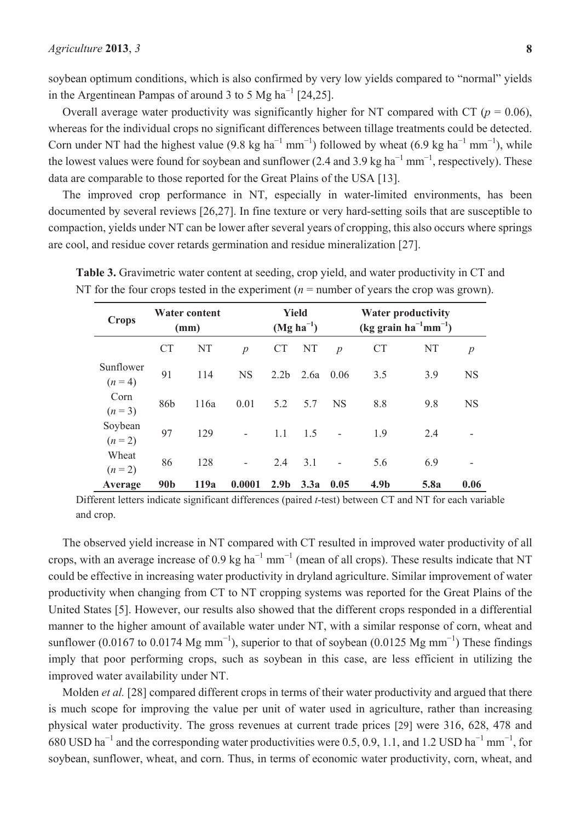soybean optimum conditions, which is also confirmed by very low yields compared to "normal" yields in the Argentinean Pampas of around 3 to 5 Mg ha<sup> $-1$ </sup> [24,25].

Overall average water productivity was significantly higher for NT compared with CT ( $p = 0.06$ ), whereas for the individual crops no significant differences between tillage treatments could be detected. Corn under NT had the highest value (9.8 kg ha<sup>-1</sup> mm<sup>-1</sup>) followed by wheat (6.9 kg ha<sup>-1</sup> mm<sup>-1</sup>), while the lowest values were found for soybean and sunflower (2.4 and 3.9 kg ha<sup> $-1$ </sup> mm<sup> $-1$ </sup>, respectively). These data are comparable to those reported for the Great Plains of the USA [13].

The improved crop performance in NT, especially in water-limited environments, has been documented by several reviews [26,27]. In fine texture or very hard-setting soils that are susceptible to compaction, yields under NT can be lower after several years of cropping, this also occurs where springs are cool, and residue cover retards germination and residue mineralization [27].

| <b>Crops</b>         |                 | <b>Water content</b><br>(mm) |                  | <b>Yield</b><br>$(Mg ha^{-1})$ |      |                  |                  | <b>Water productivity</b><br>$(kg grain ha-1mm-1)$ |                  |  |
|----------------------|-----------------|------------------------------|------------------|--------------------------------|------|------------------|------------------|----------------------------------------------------|------------------|--|
|                      | <b>CT</b>       | <b>NT</b>                    | $\boldsymbol{p}$ | <b>CT</b>                      | NT   | $\boldsymbol{p}$ | <b>CT</b>        | NT                                                 | $\boldsymbol{p}$ |  |
| Sunflower<br>$(n=4)$ | 91              | 114                          | <b>NS</b>        | 2.2 <sub>b</sub>               | 2.6a | 0.06             | 3.5              | 3.9                                                | <b>NS</b>        |  |
| Corn<br>$(n=3)$      | 86b             | 116a                         | 0.01             | 5.2                            | 5.7  | <b>NS</b>        | 8.8              | 9.8                                                | <b>NS</b>        |  |
| Soybean<br>$(n = 2)$ | 97              | 129                          |                  | 1.1                            | 1.5  |                  | 1.9              | 2.4                                                |                  |  |
| Wheat<br>$(n = 2)$   | 86              | 128                          |                  | 2.4                            | 3.1  |                  | 5.6              | 6.9                                                | -                |  |
| Average              | 90 <sub>b</sub> | 119a                         | 0.0001           | 2.9 <sub>b</sub>               | 3.3a | 0.05             | 4.9 <sub>b</sub> | 5.8a                                               | 0.06             |  |

**Table 3.** Gravimetric water content at seeding, crop yield, and water productivity in CT and NT for the four crops tested in the experiment  $(n =$  number of years the crop was grown).

Different letters indicate significant differences (paired *t*-test) between CT and NT for each variable and crop.

The observed yield increase in NT compared with CT resulted in improved water productivity of all crops, with an average increase of 0.9 kg ha<sup> $-1$ </sup> mm<sup> $-1$ </sup> (mean of all crops). These results indicate that NT could be effective in increasing water productivity in dryland agriculture. Similar improvement of water productivity when changing from CT to NT cropping systems was reported for the Great Plains of the United States [5]. However, our results also showed that the different crops responded in a differential manner to the higher amount of available water under NT, with a similar response of corn, wheat and sunflower (0.0167 to 0.0174 Mg mm<sup>-1</sup>), superior to that of soybean (0.0125 Mg mm<sup>-1</sup>) These findings imply that poor performing crops, such as soybean in this case, are less efficient in utilizing the improved water availability under NT.

Molden *et al.* [28] compared different crops in terms of their water productivity and argued that there is much scope for improving the value per unit of water used in agriculture, rather than increasing physical water productivity. The gross revenues at current trade prices [29] were 316, 628, 478 and 680 USD ha<sup>-1</sup> and the corresponding water productivities were 0.5, 0.9, 1.1, and 1.2 USD ha<sup>-1</sup> mm<sup>-1</sup>, for soybean, sunflower, wheat, and corn. Thus, in terms of economic water productivity, corn, wheat, and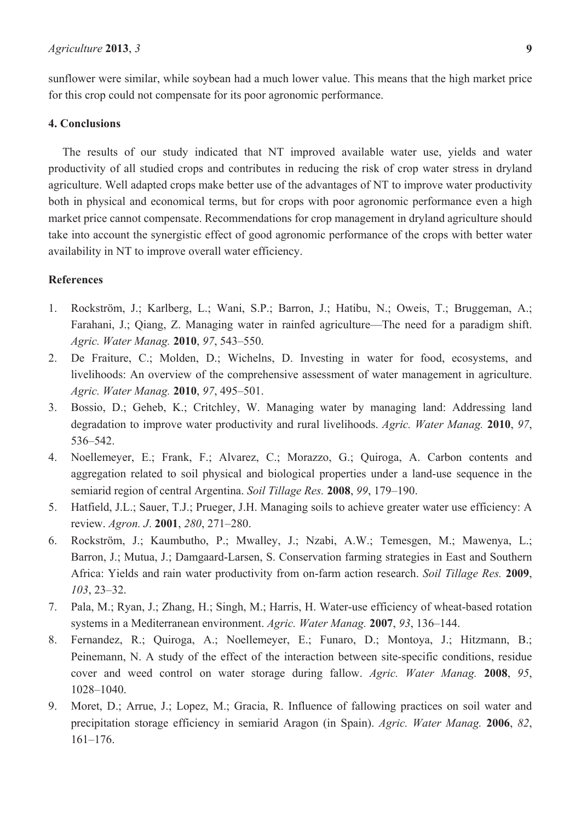sunflower were similar, while soybean had a much lower value. This means that the high market price for this crop could not compensate for its poor agronomic performance.

## **4. Conclusions**

The results of our study indicated that NT improved available water use, yields and water productivity of all studied crops and contributes in reducing the risk of crop water stress in dryland agriculture. Well adapted crops make better use of the advantages of NT to improve water productivity both in physical and economical terms, but for crops with poor agronomic performance even a high market price cannot compensate. Recommendations for crop management in dryland agriculture should take into account the synergistic effect of good agronomic performance of the crops with better water availability in NT to improve overall water efficiency.

### **References**

- 1. Rockström, J.; Karlberg, L.; Wani, S.P.; Barron, J.; Hatibu, N.; Oweis, T.; Bruggeman, A.; Farahani, J.; Qiang, Z. Managing water in rainfed agriculture—The need for a paradigm shift. *Agric. Water Manag.* **2010**, *97*, 543–550.
- 2. De Fraiture, C.; Molden, D.; Wichelns, D. Investing in water for food, ecosystems, and livelihoods: An overview of the comprehensive assessment of water management in agriculture. *Agric. Water Manag.* **2010**, *97*, 495–501.
- 3. Bossio, D.; Geheb, K.; Critchley, W. Managing water by managing land: Addressing land degradation to improve water productivity and rural livelihoods. *Agric. Water Manag.* **2010**, *97*, 536–542.
- 4. Noellemeyer, E.; Frank, F.; Alvarez, C.; Morazzo, G.; Quiroga, A. Carbon contents and aggregation related to soil physical and biological properties under a land-use sequence in the semiarid region of central Argentina. *Soil Tillage Res.* **2008**, *99*, 179–190.
- 5. Hatfield, J.L.; Sauer, T.J.; Prueger, J.H. Managing soils to achieve greater water use efficiency: A review. *Agron. J*. **2001**, *280*, 271–280.
- 6. Rockström, J.; Kaumbutho, P.; Mwalley, J.; Nzabi, A.W.; Temesgen, M.; Mawenya, L.; Barron, J.; Mutua, J.; Damgaard-Larsen, S. Conservation farming strategies in East and Southern Africa: Yields and rain water productivity from on-farm action research. *Soil Tillage Res.* **2009**, *103*, 23–32.
- 7. Pala, M.; Ryan, J.; Zhang, H.; Singh, M.; Harris, H. Water-use efficiency of wheat-based rotation systems in a Mediterranean environment. *Agric. Water Manag.* **2007**, *93*, 136–144.
- 8. Fernandez, R.; Quiroga, A.; Noellemeyer, E.; Funaro, D.; Montoya, J.; Hitzmann, B.; Peinemann, N. A study of the effect of the interaction between site-specific conditions, residue cover and weed control on water storage during fallow. *Agric. Water Manag.* **2008**, *95*, 1028–1040.
- 9. Moret, D.; Arrue, J.; Lopez, M.; Gracia, R. Influence of fallowing practices on soil water and precipitation storage efficiency in semiarid Aragon (in Spain). *Agric. Water Manag.* **2006**, *82*, 161–176.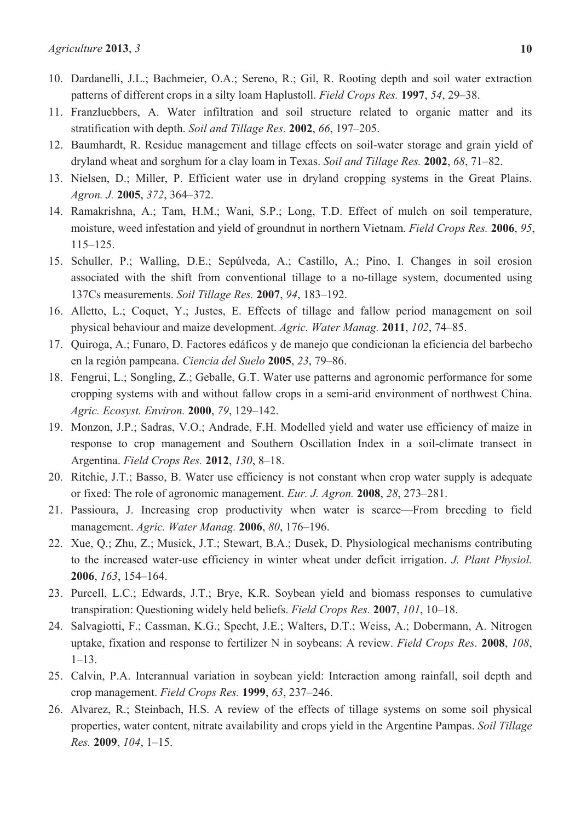- 10. Dardanelli, J.L.; Bachmeier, O.A.; Sereno, R.; Gil, R. Rooting depth and soil water extraction patterns of different crops in a silty loam Haplustoll. *Field Crops Res.* **1997**, *54*, 29–38.
- 11. Franzluebbers, A. Water infiltration and soil structure related to organic matter and its stratification with depth. *Soil and Tillage Res.* **2002**, *66*, 197–205.
- 12. Baumhardt, R. Residue management and tillage effects on soil-water storage and grain yield of dryland wheat and sorghum for a clay loam in Texas. *Soil and Tillage Res.* **2002**, *68*, 71–82.
- 13. Nielsen, D.; Miller, P. Efficient water use in dryland cropping systems in the Great Plains. *Agron. J.* **2005**, *372*, 364–372.
- 14. Ramakrishna, A.; Tam, H.M.; Wani, S.P.; Long, T.D. Effect of mulch on soil temperature, moisture, weed infestation and yield of groundnut in northern Vietnam. *Field Crops Res.* **2006**, *95*, 115–125.
- 15. Schuller, P.; Walling, D.E.; Sepúlveda, A.; Castillo, A.; Pino, I. Changes in soil erosion associated with the shift from conventional tillage to a no-tillage system, documented using 137Cs measurements. *Soil Tillage Res.* **2007**, *94*, 183–192.
- 16. Alletto, L.; Coquet, Y.; Justes, E. Effects of tillage and fallow period management on soil physical behaviour and maize development. *Agric. Water Manag.* **2011**, *102*, 74–85.
- 17. Quiroga, A.; Funaro, D. Factores edáficos y de manejo que condicionan la eficiencia del barbecho en la región pampeana. *Ciencia del Suelo* **2005**, *23*, 79–86.
- 18. Fengrui, L.; Songling, Z.; Geballe, G.T. Water use patterns and agronomic performance for some cropping systems with and without fallow crops in a semi-arid environment of northwest China. *Agric. Ecosyst. Environ.* **2000**, *79*, 129–142.
- 19. Monzon, J.P.; Sadras, V.O.; Andrade, F.H. Modelled yield and water use efficiency of maize in response to crop management and Southern Oscillation Index in a soil-climate transect in Argentina. *Field Crops Res.* **2012**, *130*, 8–18.
- 20. Ritchie, J.T.; Basso, B. Water use efficiency is not constant when crop water supply is adequate or fixed: The role of agronomic management. *Eur. J. Agron.* **2008**, *28*, 273–281.
- 21. Passioura, J. Increasing crop productivity when water is scarce—From breeding to field management. *Agric. Water Manag.* **2006**, *80*, 176–196.
- 22. Xue, Q.; Zhu, Z.; Musick, J.T.; Stewart, B.A.; Dusek, D. Physiological mechanisms contributing to the increased water-use efficiency in winter wheat under deficit irrigation. *J. Plant Physiol.* **2006**, *163*, 154–164.
- 23. Purcell, L.C.; Edwards, J.T.; Brye, K.R. Soybean yield and biomass responses to cumulative transpiration: Questioning widely held beliefs. *Field Crops Res.* **2007**, *101*, 10–18.
- 24. Salvagiotti, F.; Cassman, K.G.; Specht, J.E.; Walters, D.T.; Weiss, A.; Dobermann, A. Nitrogen uptake, fixation and response to fertilizer N in soybeans: A review. *Field Crops Res.* **2008**, *108*, 1–13.
- 25. Calvin, P.A. Interannual variation in soybean yield: Interaction among rainfall, soil depth and crop management. *Field Crops Res.* **1999**, *63*, 237–246.
- 26. Alvarez, R.; Steinbach, H.S. A review of the effects of tillage systems on some soil physical properties, water content, nitrate availability and crops yield in the Argentine Pampas. *Soil Tillage Res.* **2009**, *104*, 1–15.